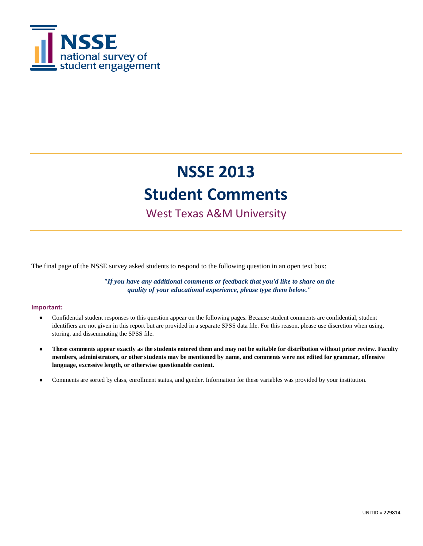

### West Texas A&M University

The final page of the NSSE survey asked students to respond to the following question in an open text box:

*"If you have any additional comments or feedback that you'd like to share on the quality of your educational experience, please type them below."*

#### **Important:**

- Confidential student responses to this question appear on the following pages. Because student comments are confidential, student identifiers are not given in this report but are provided in a separate SPSS data file. For this reason, please use discretion when using, storing, and disseminating the SPSS file.
- **These comments appear exactly as the students entered them and may not be suitable for distribution without prior review. Faculty members, administrators, or other students may be mentioned by name, and comments were not edited for grammar, offensive language, excessive length, or otherwise questionable content.**
- Comments are sorted by class, enrollment status, and gender. Information for these variables was provided by your institution.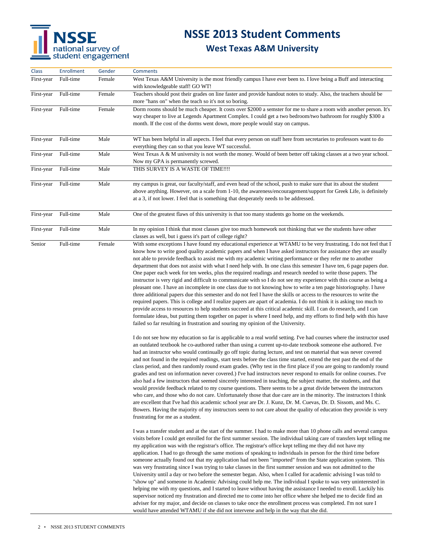# NSSE<br>
national survey of<br>
student engagement

# **NSSE 2013 Student Comments**

| Class      | <b>Enrollment</b> | Gender | <b>Comments</b>                                                                                                                                                                                                                                                                                                                                                                                                                                                                                                                                                                                                                                                                                                                                                                                                                                                                                                                                                                                                                                                                                                                                                                                                                                                                                                                                                                                                            |
|------------|-------------------|--------|----------------------------------------------------------------------------------------------------------------------------------------------------------------------------------------------------------------------------------------------------------------------------------------------------------------------------------------------------------------------------------------------------------------------------------------------------------------------------------------------------------------------------------------------------------------------------------------------------------------------------------------------------------------------------------------------------------------------------------------------------------------------------------------------------------------------------------------------------------------------------------------------------------------------------------------------------------------------------------------------------------------------------------------------------------------------------------------------------------------------------------------------------------------------------------------------------------------------------------------------------------------------------------------------------------------------------------------------------------------------------------------------------------------------------|
| First-year | Full-time         | Female | West Texas A&M University is the most friendly campus I have ever been to. I love being a Buff and interacting<br>with knowledgeable staff! GO WT!                                                                                                                                                                                                                                                                                                                                                                                                                                                                                                                                                                                                                                                                                                                                                                                                                                                                                                                                                                                                                                                                                                                                                                                                                                                                         |
| First-year | Full-time         | Female | Teachers should post their grades on line faster and provide handout notes to study. Also, the teachers should be<br>more "hans on" when the teach so it's not so boring.                                                                                                                                                                                                                                                                                                                                                                                                                                                                                                                                                                                                                                                                                                                                                                                                                                                                                                                                                                                                                                                                                                                                                                                                                                                  |
| First-year | Full-time         | Female | Dorm rooms should be much cheaper. It costs over \$2000 a semster for me to share a room with another person. It's<br>way cheaper to live at Legends Apartment Complex. I could get a two bedroom/two bathroom for roughly \$300 a<br>month. If the cost of the dorms went down, more people would stay on campus.                                                                                                                                                                                                                                                                                                                                                                                                                                                                                                                                                                                                                                                                                                                                                                                                                                                                                                                                                                                                                                                                                                         |
| First-year | Full-time         | Male   | WT has been helpful in all aspects. I feel that every person on staff here from secretaries to professors want to do<br>everything they can so that you leave WT successful.                                                                                                                                                                                                                                                                                                                                                                                                                                                                                                                                                                                                                                                                                                                                                                                                                                                                                                                                                                                                                                                                                                                                                                                                                                               |
| First-year | Full-time         | Male   | West Texas A & M university is not worth the money. Would of been better off taking classes at a two year school.<br>Now my GPA is permanently screwed.                                                                                                                                                                                                                                                                                                                                                                                                                                                                                                                                                                                                                                                                                                                                                                                                                                                                                                                                                                                                                                                                                                                                                                                                                                                                    |
| First-year | Full-time         | Male   | THIS SURVEY IS A WASTE OF TIME!!!!                                                                                                                                                                                                                                                                                                                                                                                                                                                                                                                                                                                                                                                                                                                                                                                                                                                                                                                                                                                                                                                                                                                                                                                                                                                                                                                                                                                         |
| First-year | Full-time         | Male   | my campus is great, our faculty/staff, and even head of the school, push to make sure that its about the student<br>above anything. However, on a scale from 1-10, the awareness/encouragement/support for Greek Life, is definitely<br>at a 3, if not lower. I feel that is something that desperately needs to be addressed.                                                                                                                                                                                                                                                                                                                                                                                                                                                                                                                                                                                                                                                                                                                                                                                                                                                                                                                                                                                                                                                                                             |
| First-year | Full-time         | Male   | One of the greatest flaws of this university is that too many students go home on the weekends.                                                                                                                                                                                                                                                                                                                                                                                                                                                                                                                                                                                                                                                                                                                                                                                                                                                                                                                                                                                                                                                                                                                                                                                                                                                                                                                            |
| First-year | Full-time         | Male   | In my opinion I think that most classes give too much homework not thinking that we the students have other<br>classes as well, but i guess it's part of college right?                                                                                                                                                                                                                                                                                                                                                                                                                                                                                                                                                                                                                                                                                                                                                                                                                                                                                                                                                                                                                                                                                                                                                                                                                                                    |
| Senior     | Full-time         | Female | With some exceptions I have found my educational experience at WTAMU to be very frustrating. I do not feel that I<br>know how to write good quality academic papers and when I have asked instructors for assistance they are usually<br>not able to provide feedback to assist me with my academic writing performance or they refer me to another<br>department that does not assist with what I need help with. In one class this semester I have ten, 6 page papers due.<br>One paper each week for ten weeks, plus the required readings and research needed to write those papers. The<br>instructor is very rigid and difficult to communicate with so I do not see my experience with this course as being a<br>pleasant one. I have an incomplete in one class due to not knowing how to write a ten page historiography. I have<br>three additional papers due this semester and do not feel I have the skills or access to the resources to write the<br>required papers. This is college and I realize papers are apart of academia. I do not think it is asking too much to<br>provide access to resources to help students succeed at this critical academic skill. I can do research, and I can<br>formulate ideas, but putting them together on paper is where I need help, and my efforts to find help with this have<br>failed so far resulting in frustration and souring my opinion of the University. |
|            |                   |        | I do not see how my education so far is applicable to a real world setting. I've had courses where the instructor used<br>an outdated textbook he co-authored rather than using a current up-to-date textbook someone else authored. I've<br>had an instructor who would continually go off topic during lecture, and test on material that was never covered<br>and not found in the required readings, start tests before the class time started, extend the test past the end of the<br>class period, and then randomly round exam grades. (Why test in the first place if you are going to randomly round<br>grades and test on information never covered.) I've had instructors never respond to emails for online courses. I've<br>also had a few instructors that seemed sincerely interested in teaching, the subject matter, the students, and that<br>would provide feedback related to my course questions. There seems to be a great divide between the instructors<br>who care, and those who do not care. Unfortunately those that due care are in the minority. The instructors I think<br>are excellent that I've had this academic school year are Dr. J. Kunz, Dr. M. Cuevas, Dr. D. Sissom, and Ms. C.<br>Bowers. Having the majority of my instructors seem to not care about the quality of education they provide is very<br>frustrating for me as a student.                                        |
|            |                   |        | I was a transfer student and at the start of the summer. I had to make more than 10 phone calls and several campus<br>visits before I could get enrolled for the first summer session. The individual taking care of transfers kept telling me<br>my application was with the registrar's office. The registrar's office kept telling me they did not have my<br>application. I had to go through the same motions of speaking to individuals in person for the third time before<br>someone actually found out that my application had not been "imported" from the State application system. This<br>was very frustrating since I was trying to take classes in the first summer session and was not admitted to the<br>University until a day or two before the semester began. Also, when I called for academic advising I was told to<br>"show up" and someone in Academic Advising could help me. The individual I spoke to was very uninterested in<br>helping me with my questions, and I started to leave without having the assistance I needed to enroll. Luckily his<br>supervisor noticed my frustration and directed me to come into her office where she helped me to decide find an<br>adviser for my major, and decide on classes to take once the enrollment process was completed. I'm not sure I<br>would have attended WTAMU if she did not intervene and help in the way that she did.               |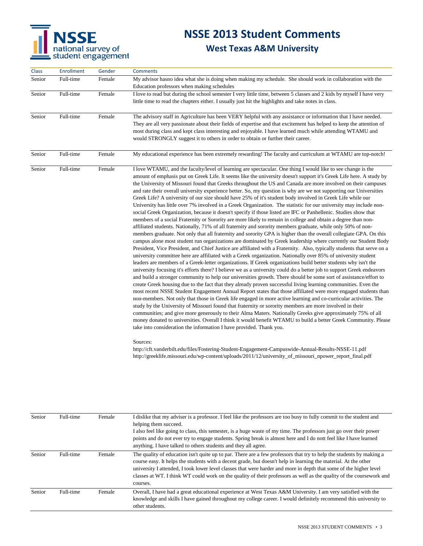

#### **West Texas A&M University**

| <b>Class</b> | Enrollment | Gender | <b>Comments</b>                                                                                                                                                                                                                                                                                                                                                                                                                                                                                                                                                                                                                                                                                                                                                                                                                                                                                                                                                                                                                                                                                                                                                                                                                                                                                                                                                                                                                                                                                                                                                                                                                                                                                                                                                                                                                                                                                                                                                                                                                                                                                                                                                                                                                                                                                                                                                                                                                                                                                                                                                                                                                                                                                                 |
|--------------|------------|--------|-----------------------------------------------------------------------------------------------------------------------------------------------------------------------------------------------------------------------------------------------------------------------------------------------------------------------------------------------------------------------------------------------------------------------------------------------------------------------------------------------------------------------------------------------------------------------------------------------------------------------------------------------------------------------------------------------------------------------------------------------------------------------------------------------------------------------------------------------------------------------------------------------------------------------------------------------------------------------------------------------------------------------------------------------------------------------------------------------------------------------------------------------------------------------------------------------------------------------------------------------------------------------------------------------------------------------------------------------------------------------------------------------------------------------------------------------------------------------------------------------------------------------------------------------------------------------------------------------------------------------------------------------------------------------------------------------------------------------------------------------------------------------------------------------------------------------------------------------------------------------------------------------------------------------------------------------------------------------------------------------------------------------------------------------------------------------------------------------------------------------------------------------------------------------------------------------------------------------------------------------------------------------------------------------------------------------------------------------------------------------------------------------------------------------------------------------------------------------------------------------------------------------------------------------------------------------------------------------------------------------------------------------------------------------------------------------------------------|
| Senior       | Full-time  | Female | My advisor hasno idea what she is doing when making my schedule. She should work in collaboration with the<br>Education professors when making schedules                                                                                                                                                                                                                                                                                                                                                                                                                                                                                                                                                                                                                                                                                                                                                                                                                                                                                                                                                                                                                                                                                                                                                                                                                                                                                                                                                                                                                                                                                                                                                                                                                                                                                                                                                                                                                                                                                                                                                                                                                                                                                                                                                                                                                                                                                                                                                                                                                                                                                                                                                        |
| Senior       | Full-time  | Female | I love to read but during the school semester I very little time, between 5 classes and 2 kids by myself I have very<br>little time to read the chapters either. I usually just hit the highlights and take notes in class.                                                                                                                                                                                                                                                                                                                                                                                                                                                                                                                                                                                                                                                                                                                                                                                                                                                                                                                                                                                                                                                                                                                                                                                                                                                                                                                                                                                                                                                                                                                                                                                                                                                                                                                                                                                                                                                                                                                                                                                                                                                                                                                                                                                                                                                                                                                                                                                                                                                                                     |
| Senior       | Full-time  | Female | The advisory staff in Agriculture has been VERY helpful with any assistance or information that I have needed.<br>They are all very passionate about their fields of expertise and that excitement has helped to keep the attention of<br>most during class and kept class interesting and enjoyable. I have learned much while attending WTAMU and<br>would STRONGLY suggest it to others in order to obtain or further their career.                                                                                                                                                                                                                                                                                                                                                                                                                                                                                                                                                                                                                                                                                                                                                                                                                                                                                                                                                                                                                                                                                                                                                                                                                                                                                                                                                                                                                                                                                                                                                                                                                                                                                                                                                                                                                                                                                                                                                                                                                                                                                                                                                                                                                                                                          |
| Senior       | Full-time  | Female | My educational experience has been extremely rewarding! The faculty and curriculum at WTAMU are top-notch!                                                                                                                                                                                                                                                                                                                                                                                                                                                                                                                                                                                                                                                                                                                                                                                                                                                                                                                                                                                                                                                                                                                                                                                                                                                                                                                                                                                                                                                                                                                                                                                                                                                                                                                                                                                                                                                                                                                                                                                                                                                                                                                                                                                                                                                                                                                                                                                                                                                                                                                                                                                                      |
| Senior       | Full-time  | Female | I love WTAMU, and the faculty/level of learning are spectacular. One thing I would like to see change is the<br>amount of emphasis put on Greek Life. It seems like the university doesn't support it's Greek Life here. A study by<br>the University of Missouri found that Greeks throughout the US and Canada are more involved on their campuses<br>and rate their overall university experience better. So, my question is why are we not supporting our Universities<br>Greek Life? A university of our size should have 25% of it's student body involved in Greek Life while our<br>University has little over 7% involved in a Greek Organization. The statistic for our university may include non-<br>social Greek Organization, because it doesn't specify if those listed are IFC or Panhellenic. Studies show that<br>members of a social Fraternity or Sorority are more likely to remain in college and obtain a degree than non-<br>affiliated students. Nationally, 71% of all fraternity and sorority members graduate, while only 50% of non-<br>members graduate. Not only that all fraternity and sorority GPA is higher than the overall collegiate GPA. On this<br>campus alone most student run organizations are dominated by Greek leadership where currently our Student Body<br>President, Vice President, and Chief Justice are affiliated with a Fraternity. Also, typically students that serve on a<br>university committee here are affiliated with a Greek organization. Nationally over 85% of university student<br>leaders are members of a Greek-letter organizations. If Greek organizations build better students why isn't the<br>university focusing it's efforts there? I believe we as a university could do a better job to support Greek endeavors<br>and build a stronger community to help our universities growth. There should be some sort of assistance/effort to<br>create Greek housing due to the fact that they already proven successful living learning communities. Even the<br>most recent NSSE Student Engagement Annual Report states that those affiliated were more engaged students than<br>non-members. Not only that those in Greek life engaged in more active learning and co-curricular activities. The<br>study by the University of Missouri found that fraternity or sorority members are more involved in their<br>communities; and give more generously to their Alma Maters. Nationally Greeks give approximately 75% of all<br>money donated to universities. Overall I think it would benefit WTAMU to build a better Greek Community. Please<br>take into consideration the information I have provided. Thank you.<br>Sources: |

http://cft.vanderbilt.edu/files/Fostering-Student-Engagement-Campuswide-Annual-Results-NSSE-11.pdf http://greeklife.missouri.edu/wp-content/uploads/2011/12/university\_of\_missouri\_npower\_report\_final.pdf

| Senior | Full-time | Female | I dislike that my adviser is a professor. I feel like the professors are too busy to fully commit to the student and<br>helping them succeed.<br>I also feel like going to class, this semester, is a huge waste of my time. The professors just go over their power<br>points and do not ever try to engage students. Spring break is almost here and I do not feel like I have learned<br>anything. I have talked to others students and they all agree.                                        |
|--------|-----------|--------|---------------------------------------------------------------------------------------------------------------------------------------------------------------------------------------------------------------------------------------------------------------------------------------------------------------------------------------------------------------------------------------------------------------------------------------------------------------------------------------------------|
| Senior | Full-time | Female | The quality of education isn't quite up to par. There are a few professors that try to help the students by making a<br>course easy. It helps the students with a decent grade, but doesn't help in learning the material. At the other<br>university I attended, I took lower level classes that were harder and more in depth that some of the higher level<br>classes at WT. I think WT could work on the quality of their professors as well as the quality of the coursework and<br>courses. |
| Senior | Full-time | Female | Overall, I have had a great educational experience at West Texas A&M University. I am very satisfied with the<br>knowledge and skills I have gained throughout my college career. I would definitely recommend this university to<br>other students.                                                                                                                                                                                                                                              |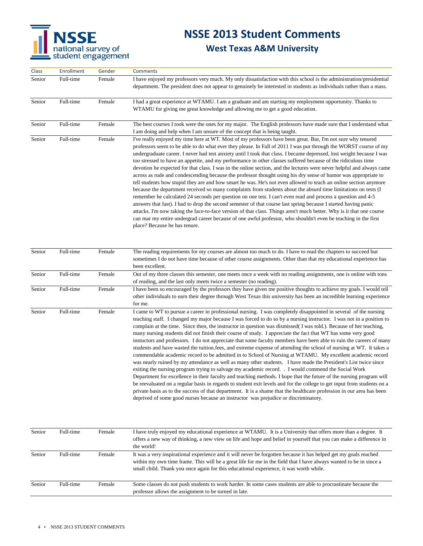

#### **West Texas A&M University**

| <b>Class</b> | Enrollment | Gender | <b>Comments</b>                                                                                                                                                                                                                                                                                                                                                                                                                                                                                                                                                                                                                                                                                                                                                                                                                                                                                                                                                                                                                                                                                                                                                                                                                                                                                                                                                                                                                                                           |
|--------------|------------|--------|---------------------------------------------------------------------------------------------------------------------------------------------------------------------------------------------------------------------------------------------------------------------------------------------------------------------------------------------------------------------------------------------------------------------------------------------------------------------------------------------------------------------------------------------------------------------------------------------------------------------------------------------------------------------------------------------------------------------------------------------------------------------------------------------------------------------------------------------------------------------------------------------------------------------------------------------------------------------------------------------------------------------------------------------------------------------------------------------------------------------------------------------------------------------------------------------------------------------------------------------------------------------------------------------------------------------------------------------------------------------------------------------------------------------------------------------------------------------------|
| Senior       | Full-time  | Female | I have enjoyed my professors very much. My only dissatisfaction with this school is the administration/presidential<br>department. The president does not appear to genuinely be interested in students as individuals rather than a mass.                                                                                                                                                                                                                                                                                                                                                                                                                                                                                                                                                                                                                                                                                                                                                                                                                                                                                                                                                                                                                                                                                                                                                                                                                                |
| Senior       | Full-time  | Female | I had a great experience at WTAMU. I am a graduate and am starting my employment opportunity. Thanks to<br>WTAMU for giving me great knowledge and allowing me to get a good education.                                                                                                                                                                                                                                                                                                                                                                                                                                                                                                                                                                                                                                                                                                                                                                                                                                                                                                                                                                                                                                                                                                                                                                                                                                                                                   |
| Senior       | Full-time  | Female | The best courses I took were the ones for my major. The English professors have made sure that I understand what<br>I am doing and help when I am unsure of the concept that is being taught.                                                                                                                                                                                                                                                                                                                                                                                                                                                                                                                                                                                                                                                                                                                                                                                                                                                                                                                                                                                                                                                                                                                                                                                                                                                                             |
| Senior       | Full-time  | Female | I've really enjoyed my time here at WT. Most of my professors have been great. But, I'm not sure why tenured<br>professors seem to be able to do what ever they please. In Fall of 2011 I was put through the WORST course of my<br>undergraduate career. I never had test anxiety until I took that class. I became depressed, lost weight because I was<br>too stressed to have an appetite, and my performance in other classes suffered because of the ridiculous time<br>devotion he expected for that class. I was in the online section, and the lectures were never helpful and always came<br>across as rude and condescending because the professor thought using his dry sense of humor was appropriate to<br>tell students how stupid they are and how smart he was. He's not even allowed to teach an online section anymore<br>because the department received so many complaints from students about the absurd time limitations on tests (I<br>remember he calculated 24 seconds per question on one test. I can't even read and process a question and 4-5<br>answers that fast). I had to drop the second semester of that course last spring because I started having panic<br>attacks. I'm now taking the face-to-face version of that class. Things aren't much better. Why is it that one course<br>can mar my entire undergrad career because of one awful professor, who shouldn't even be teaching in the first<br>place? Because he has tenure. |
| Senior       | Full-time  | Female | The reading requirements for my courses are almost too much to do. I have to read the chapters to succeed but<br>sometimes I do not have time because of other course assignments. Other than that my educational experience has<br>been excellent.                                                                                                                                                                                                                                                                                                                                                                                                                                                                                                                                                                                                                                                                                                                                                                                                                                                                                                                                                                                                                                                                                                                                                                                                                       |
| Senior       | Full-time  | Female | Out of my three classes this semester, one meets once a week with no reading assignments, one is online with tons<br>of reading, and the last only meets twice a semester (no reading).                                                                                                                                                                                                                                                                                                                                                                                                                                                                                                                                                                                                                                                                                                                                                                                                                                                                                                                                                                                                                                                                                                                                                                                                                                                                                   |
| Senior       | Full-time  | Female | I have been so encouraged by the professors they have given me positive thoughts to achieve my goals. I would tell<br>other individuals to earn their degree through West Texas this university has been an incredible learning experience<br>for me.                                                                                                                                                                                                                                                                                                                                                                                                                                                                                                                                                                                                                                                                                                                                                                                                                                                                                                                                                                                                                                                                                                                                                                                                                     |
| Senior       | Full-time  | Female | I came to WT to pursue a career in professional nursing. I was completely disappointed in several of the nursing<br>teaching staff. I changed my major because I was forced to do so by a nursing instructor. I was not in a position to<br>complain at the time. Since then, the instructor in question was dismissed (I was told.). Because of her teaching,<br>many nursing students did not finish their course of study. I appreciate the fact that WT has some very good<br>instuctors and professors. I do not appreciate that some faculty members have been able to ruin the careers of many<br>students and have wasted the tuition.fees, and extreme expense of attending the school of nursing at WT. It takes a<br>commendable academic record to be admitted in to School of Nursing at WTAMU. My excellent academic record<br>was nearly ruined by my attendance as well as many other students. I have made the President's List twice since                                                                                                                                                                                                                                                                                                                                                                                                                                                                                                              |

exiting the nursing program trying to salvage my academic record. . I would commend the Social Work Department for excellence in their faculty and teaching methods. I hope that the future of the nursing program will be reevaluated on a regular basis in regards to student exit levels and for the college to get input from students on a private basis as to the success of that department. It is a shame that the healthcare profession in our area has been deprived of some good nurses because an instructor was prejudice or discriminatory.

| Senior | Full-time | Female | I have truly enjoyed my educational experience at WTAMU. It is a University that offers more than a degree. It<br>offers a new way of thinking, a new view on life and hope and belief in yourself that you can make a difference in<br>the world!                                                                               |
|--------|-----------|--------|----------------------------------------------------------------------------------------------------------------------------------------------------------------------------------------------------------------------------------------------------------------------------------------------------------------------------------|
| Senior | Full-time | Female | It was a very inspirational experience and it will never be forgotten because it has helped get my goals reached<br>within my own time frame. This will be a great life for me in the field that I have always wanted to be in since a<br>small child. Thank you once again for this educational experience, it was worth while. |
| Senior | Full-time | Female | Some classes do not push students to work harder. In some cases students are able to procrastinate because the<br>professor allows the assignment to be turned in late.                                                                                                                                                          |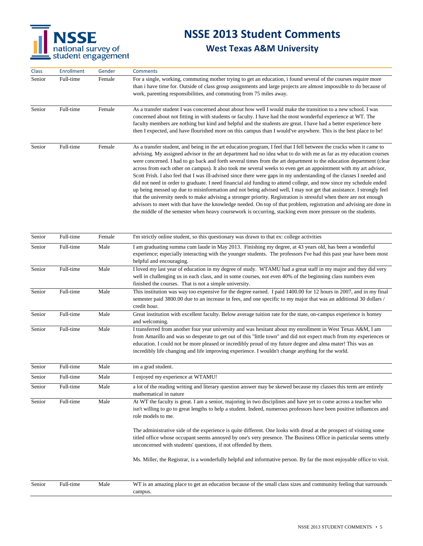

| Class  | <b>Enrollment</b> | Gender | <b>Comments</b>                                                                                                                                                                                                                                                                                                                                                                                                                                                                                                                                                                                                                                                                                                                                                                                                                                                                                                                                                                                                                                                                                                                                                                                                         |
|--------|-------------------|--------|-------------------------------------------------------------------------------------------------------------------------------------------------------------------------------------------------------------------------------------------------------------------------------------------------------------------------------------------------------------------------------------------------------------------------------------------------------------------------------------------------------------------------------------------------------------------------------------------------------------------------------------------------------------------------------------------------------------------------------------------------------------------------------------------------------------------------------------------------------------------------------------------------------------------------------------------------------------------------------------------------------------------------------------------------------------------------------------------------------------------------------------------------------------------------------------------------------------------------|
| Senior | Full-time         | Female | For a single, working, commuting mother trying to get an education, i found several of the courses require more<br>than i have time for. Outside of class group assignments and large projects are almost impossible to do because of<br>work, parenting responsibilities, and commuting from 75 miles away.                                                                                                                                                                                                                                                                                                                                                                                                                                                                                                                                                                                                                                                                                                                                                                                                                                                                                                            |
| Senior | Full-time         | Female | As a transfer student I was concerned about about how well I would make the transition to a new school. I was<br>concerned about not fitting in with students or faculty. I have had the most wonderful experience at WT. The<br>faculty members are nothing but kind and helpful and the students are great. I have had a better experience here<br>then I expected, and have flourished more on this campus than I would've anywhere. This is the best place to be!                                                                                                                                                                                                                                                                                                                                                                                                                                                                                                                                                                                                                                                                                                                                                   |
| Senior | Full-time         | Female | As a transfer student, and being in the art education program, I feel that I fell between the cracks when it came to<br>advising. My assigned advisor in the art department had no idea what to do with me as far as my education courses<br>were concerned. I had to go back and forth several times from the art department to the education department (clear<br>across from each other on campus). It also took me several weeks to even get an appointment with my art advisor,<br>Scott Frish. I also feel that I was ill-advised since there were gaps in my understanding of the classes I needed and<br>did not need in order to graduate. I need financial aid funding to attend college, and now since my schedule ended<br>up being messed up due to misinformation and not being advised well, I may not get that assistance. I strongly feel<br>that the university needs to make advising a stronger priority. Registration is stressful when there are not enough<br>advisors to meet with that have the knowledge needed. On top of that problem, registration and advising are done in<br>the middle of the semester when heavy coursework is occurring, stacking even more pressure on the students. |
| Senior | Full-time         | Female | I'm strictly online student, so this questionary was drawn to that ex: college activities                                                                                                                                                                                                                                                                                                                                                                                                                                                                                                                                                                                                                                                                                                                                                                                                                                                                                                                                                                                                                                                                                                                               |
| Senior | Full-time         | Male   | I am graduating summa cum laude in May 2013. Finishing my degree, at 43 years old, has been a wonderful<br>experience; especially interacting with the younger students. The professors I've had this past year have been most<br>helpful and encouraging.                                                                                                                                                                                                                                                                                                                                                                                                                                                                                                                                                                                                                                                                                                                                                                                                                                                                                                                                                              |
| Senior | Full-time         | Male   | I loved my last year of education in my degree of study. WTAMU had a great staff in my major and they did very<br>well in challenging us in each class, and in some courses, not even 40% of the beginning class numbers even<br>finished the courses. That is not a simple university.                                                                                                                                                                                                                                                                                                                                                                                                                                                                                                                                                                                                                                                                                                                                                                                                                                                                                                                                 |
| Senior | Full-time         | Male   | This institution was way too expensive for the degree earned. I paid 1400.00 for 12 hours in 2007, and in my final<br>semester paid 3800.00 due to an increase in fees, and one specific to my major that was an additional 30 dollars /<br>credit hour.                                                                                                                                                                                                                                                                                                                                                                                                                                                                                                                                                                                                                                                                                                                                                                                                                                                                                                                                                                |
| Senior | Full-time         | Male   | Great institution with excellent faculty. Below average tuition rate for the state, on-campus experience is homey<br>and welcoming.                                                                                                                                                                                                                                                                                                                                                                                                                                                                                                                                                                                                                                                                                                                                                                                                                                                                                                                                                                                                                                                                                     |
| Senior | Full-time         | Male   | I transferred from another four year university and was hesitant about my enrollment in West Texas A&M, I am<br>from Amarillo and was so desperate to get out of this "little town" and did not expect much from my experiences or<br>education. I could not be more pleased or incredibly proud of my future degree and alma mater! This was an<br>incredibly life changing and life improving experience. I wouldn't change anything for the world.                                                                                                                                                                                                                                                                                                                                                                                                                                                                                                                                                                                                                                                                                                                                                                   |
| Senior | Full-time         | Male   | im a grad student.                                                                                                                                                                                                                                                                                                                                                                                                                                                                                                                                                                                                                                                                                                                                                                                                                                                                                                                                                                                                                                                                                                                                                                                                      |
| Senior | Full-time         | Male   | I enjoyed my experience at WTAMU!                                                                                                                                                                                                                                                                                                                                                                                                                                                                                                                                                                                                                                                                                                                                                                                                                                                                                                                                                                                                                                                                                                                                                                                       |
| Senior | Full-time         | Male   | a lot of the reading writing and literary question answer may be skewed because my classes this term are entirely<br>mathematical in nature                                                                                                                                                                                                                                                                                                                                                                                                                                                                                                                                                                                                                                                                                                                                                                                                                                                                                                                                                                                                                                                                             |
| Senior | Full-time         | Male   | At WT the faculty is great. I am a senior, majoring in two disciplines and have yet to come across a teacher who<br>isn't willing to go to great lengths to help a student. Indeed, numerous professors have been positive influences and<br>role models to me.<br>The administrative side of the experience is quite different. One looks with dread at the prospect of visiting some                                                                                                                                                                                                                                                                                                                                                                                                                                                                                                                                                                                                                                                                                                                                                                                                                                  |
|        |                   |        | titled office whose occupant seems annoyed by one's very presence. The Business Office in particular seems utterly<br>unconcerned with students' questions, if not offended by them.<br>Ms. Miller, the Registrar, is a wonderfully helpful and informative person. By far the most enjoyable office to visit.                                                                                                                                                                                                                                                                                                                                                                                                                                                                                                                                                                                                                                                                                                                                                                                                                                                                                                          |
| Senior | Full-time         | Male   | WT is an amazing place to get an education because of the small class sizes and community feeling that surrounds                                                                                                                                                                                                                                                                                                                                                                                                                                                                                                                                                                                                                                                                                                                                                                                                                                                                                                                                                                                                                                                                                                        |
|        |                   |        | campus.                                                                                                                                                                                                                                                                                                                                                                                                                                                                                                                                                                                                                                                                                                                                                                                                                                                                                                                                                                                                                                                                                                                                                                                                                 |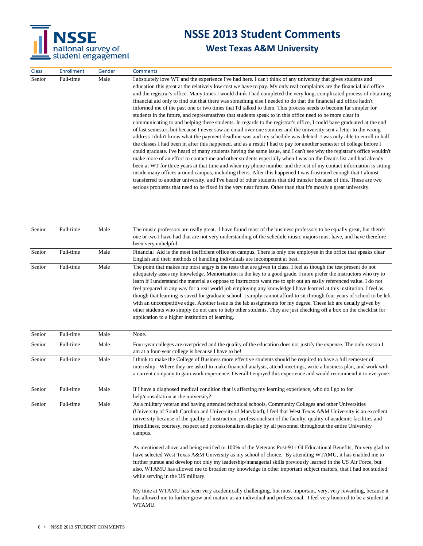

Class Enrollment Gender Comments

# **NSSE 2013 Student Comments**

|           |           | education this great at the relatively low cost we have to pay. My only real complaints are the financial aid office<br>and the registrar's office. Many times I would think I had completed the very long, complicated process of obtaining<br>financial aid only to find out that there was something else I needed to do that the financial aid office hadn't<br>informed me of the past one or two times that I'd talked to them. This process needs to become far simpler for<br>students in the future, and representatives that students speak to in this office need to be more clear in<br>communicating to and helping these students. In regards to the registrar's office, I could have graduated at the end<br>of last semester, but because I never saw an email over one summer and the university sent a letter to the wrong<br>address I didn't know what the payment deadline was and my schedule was deleted. I was only able to enroll in half<br>the classes I had been in after this happened, and as a result I had to pay for another semester of college before I<br>could graduate. I've heard of many students having the same issue, and I can't see why the registrar's office wouldn't<br>make more of an effort to contact me and other students especially when I was on the Dean's list and had already<br>been at WT for three years at that time and when my phone number and the rest of my contact information is sitting<br>inside many offices around campus, including theirs. After this happened I was frustrated enough that I almost<br>transferred to another university, and I've heard of other students that did transfer because of this. These are two<br>serious problems that need to be fixed in the very near future. Other than that it's mostly a great university. |
|-----------|-----------|-----------------------------------------------------------------------------------------------------------------------------------------------------------------------------------------------------------------------------------------------------------------------------------------------------------------------------------------------------------------------------------------------------------------------------------------------------------------------------------------------------------------------------------------------------------------------------------------------------------------------------------------------------------------------------------------------------------------------------------------------------------------------------------------------------------------------------------------------------------------------------------------------------------------------------------------------------------------------------------------------------------------------------------------------------------------------------------------------------------------------------------------------------------------------------------------------------------------------------------------------------------------------------------------------------------------------------------------------------------------------------------------------------------------------------------------------------------------------------------------------------------------------------------------------------------------------------------------------------------------------------------------------------------------------------------------------------------------------------------------------------------------------------------------------------------------------------|
| Full-time | Male      | The music professors are really great. I have found most of the business professors to be equally great, but there's<br>one or two I have had that are not very understanding of the schedule music majors must have, and have therefore                                                                                                                                                                                                                                                                                                                                                                                                                                                                                                                                                                                                                                                                                                                                                                                                                                                                                                                                                                                                                                                                                                                                                                                                                                                                                                                                                                                                                                                                                                                                                                                    |
| Full-time | Male      | been very unhelpful.<br>Financial Aid is the most inefficient office on campus. There is only one employee in the office that speaks clear                                                                                                                                                                                                                                                                                                                                                                                                                                                                                                                                                                                                                                                                                                                                                                                                                                                                                                                                                                                                                                                                                                                                                                                                                                                                                                                                                                                                                                                                                                                                                                                                                                                                                  |
|           |           | English and their methods of handling individuals are incompetent at best.                                                                                                                                                                                                                                                                                                                                                                                                                                                                                                                                                                                                                                                                                                                                                                                                                                                                                                                                                                                                                                                                                                                                                                                                                                                                                                                                                                                                                                                                                                                                                                                                                                                                                                                                                  |
|           |           | The point that makes me most angry is the tests that are given in class. I feel as though the test present do not<br>adequately asses my knowledge. Memorization is the key to a good grade. I more prefer the instructors who try to<br>learn if I understand the material as oppose to instructors want me to spit out an easily referenced value. I do not<br>feel prepared in any way for a real world job employing any knowledge I have learned at this institution. I feel as<br>though that learning is saved for graduate school. I simply cannot afford to sit through four years of school to be left<br>with an uncompetitive edge. Another issue is the lab assignments for my degree. These lab are usually given by<br>other students who simply do not care to help other students. They are just checking off a box on the checklist for<br>application to a higher institution of learning.                                                                                                                                                                                                                                                                                                                                                                                                                                                                                                                                                                                                                                                                                                                                                                                                                                                                                                               |
| Full-time | Male      | None.                                                                                                                                                                                                                                                                                                                                                                                                                                                                                                                                                                                                                                                                                                                                                                                                                                                                                                                                                                                                                                                                                                                                                                                                                                                                                                                                                                                                                                                                                                                                                                                                                                                                                                                                                                                                                       |
| Full-time | Male      | Four-year colleges are overpriced and the quality of the education does not justify the expense. The only reason I<br>am at a four-year college is because I have to be!                                                                                                                                                                                                                                                                                                                                                                                                                                                                                                                                                                                                                                                                                                                                                                                                                                                                                                                                                                                                                                                                                                                                                                                                                                                                                                                                                                                                                                                                                                                                                                                                                                                    |
| Full-time | Male      | I think to make the College of Business more effective students should be required to have a full semester of<br>internship. Where they are asked to make financial analysis, attend meetings, write a business plan, and work with<br>a current company to gain work experience. Overall I enjoyed this experience and would recommend it to everyone.                                                                                                                                                                                                                                                                                                                                                                                                                                                                                                                                                                                                                                                                                                                                                                                                                                                                                                                                                                                                                                                                                                                                                                                                                                                                                                                                                                                                                                                                     |
| Full-time | Male      | If I have a diagnosed medical condition that is affecting my learning experience, who do I go to for<br>help/consultation at the university?                                                                                                                                                                                                                                                                                                                                                                                                                                                                                                                                                                                                                                                                                                                                                                                                                                                                                                                                                                                                                                                                                                                                                                                                                                                                                                                                                                                                                                                                                                                                                                                                                                                                                |
| Full-time | Male      | As a military veteran and having attended technical schools, Community Colleges and other Universities<br>(University of South Carolina and University of Maryland), I feel that West Texas A&M University is an excellent<br>university because of the quality of instruction, professionalism of the faculty, quality of academic facilities and<br>friendliness, courtesy, respect and professionalism display by all personnel throughout the entire University<br>campus.<br>As mentioned above and being entitled to 100% of the Veterans Post-911 GI Educational Benefits, I'm very glad to<br>have selected West Texas A&M University as my school of choice. By attending WTAMU, it has enabled me to<br>further pursue and develop not only my leadership/managerial skills previously learned in the US Air Force, but<br>also, WTAMU has allowed me to broaden my knowledge in other important subject matters, that I had not studied<br>while serving in the US military.<br>My time at WTAMU has been very academically challenging, but most important, very, very rewarding, because it<br>has allowed me to further grow and mature as an individual and professional. I feel very honored to be a student at<br>WTAMU.                                                                                                                                                                                                                                                                                                                                                                                                                                                                                                                                                                                   |
|           | Full-time | Male                                                                                                                                                                                                                                                                                                                                                                                                                                                                                                                                                                                                                                                                                                                                                                                                                                                                                                                                                                                                                                                                                                                                                                                                                                                                                                                                                                                                                                                                                                                                                                                                                                                                                                                                                                                                                        |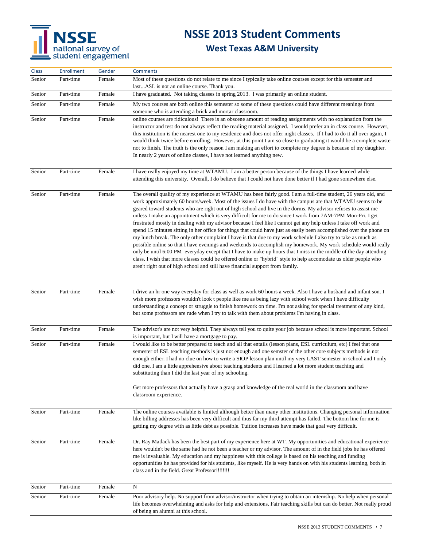# NSSE<br>
national survey of<br>
student engagement

# **NSSE 2013 Student Comments**

| <b>Class</b> | Enrollment | Gender | <b>Comments</b>                                                                                                                                                                                                                                                                                                                                                                                                                                                                                                                                                                                                                                                                                                                                                                                                                                                                                                                                                                                                                                                                                                                                                                                                                                                       |
|--------------|------------|--------|-----------------------------------------------------------------------------------------------------------------------------------------------------------------------------------------------------------------------------------------------------------------------------------------------------------------------------------------------------------------------------------------------------------------------------------------------------------------------------------------------------------------------------------------------------------------------------------------------------------------------------------------------------------------------------------------------------------------------------------------------------------------------------------------------------------------------------------------------------------------------------------------------------------------------------------------------------------------------------------------------------------------------------------------------------------------------------------------------------------------------------------------------------------------------------------------------------------------------------------------------------------------------|
| Senior       | Part-time  | Female | Most of these questions do not relate to me since I typically take online courses except for this semester and<br>lastASL is not an online course. Thank you.                                                                                                                                                                                                                                                                                                                                                                                                                                                                                                                                                                                                                                                                                                                                                                                                                                                                                                                                                                                                                                                                                                         |
| Senior       | Part-time  | Female | I have graduated. Not taking classes in spring 2013. I was primarily an online student.                                                                                                                                                                                                                                                                                                                                                                                                                                                                                                                                                                                                                                                                                                                                                                                                                                                                                                                                                                                                                                                                                                                                                                               |
| Senior       | Part-time  | Female | My two courses are both online this semester so some of these questions could have different meanings from                                                                                                                                                                                                                                                                                                                                                                                                                                                                                                                                                                                                                                                                                                                                                                                                                                                                                                                                                                                                                                                                                                                                                            |
|              |            |        | someone who is attending a brick and mortar classroom.                                                                                                                                                                                                                                                                                                                                                                                                                                                                                                                                                                                                                                                                                                                                                                                                                                                                                                                                                                                                                                                                                                                                                                                                                |
| Senior       | Part-time  | Female | online courses are ridiculous! There is an obscene amount of reading assignments with no explanation from the<br>instructor and test do not always reflect the reading material assigned. I would prefer an in class course. However,<br>this institution is the nearest one to my residence and does not offer night classes. If I had to do it all over again, I<br>would think twice before enrolling. However, at this point I am so close to graduating it would be a complete waste<br>not to finish. The truth is the only reason I am making an effort to complete my degree is because of my daughter.<br>In nearly 2 years of online classes, I have not learned anything new.                                                                                                                                                                                                                                                                                                                                                                                                                                                                                                                                                                              |
| Senior       | Part-time  | Female | I have really enjoyed my time at WTAMU. I am a better person because of the things I have learned while<br>attending this university. Overall, I do believe that I could not have done better if I had gone somewhere else.                                                                                                                                                                                                                                                                                                                                                                                                                                                                                                                                                                                                                                                                                                                                                                                                                                                                                                                                                                                                                                           |
| Senior       | Part-time  | Female | The overall quality of my experience at WTAMU has been fairly good. I am a full-time student, 26 years old, and<br>work approximately 60 hours/week. Most of the issues I do have with the campus are that WTAMU seems to be<br>geared toward students who are right out of high school and live in the dorms. My advisor refuses to assist me<br>unless I make an appointment which is very difficult for me to do since I work from 7AM-7PM Mon-Fri. I get<br>frustrated mostly in dealing with my advisor because I feel like I cannot get any help unless I take off work and<br>spend 15 minutes sitting in her office for things that could have just as easily been accomplished over the phone on<br>my lunch break. The only other complaint I have is that due to my work schedule I also try to take as much as<br>possible online so that I have evenings and weekends to accomplish my homework. My work schedule would really<br>only be until 6:00 PM everyday except that I have to make up hours that I miss in the middle of the day attending<br>class. I wish that more classes could be offered online or "hybrid" style to help accomodate us older people who<br>aren't right out of high school and still have financial support from family. |
| Senior       | Part-time  | Female | I drive an hr one way everyday for class as well as work 60 hours a week. Also I have a husband and infant son. I<br>wish more professors wouldn't look t people like me as being lazy with school work when I have difficulty<br>understanding a concept or struggle to finish homework on time. I'm not asking for special treatment of any kind,<br>but some professors are rude when I try to talk with them about problems I'm having in class.                                                                                                                                                                                                                                                                                                                                                                                                                                                                                                                                                                                                                                                                                                                                                                                                                  |
| Senior       | Part-time  | Female | The advisor's are not very helpful. They always tell you to quite your job because school is more important. School<br>is important, but I will have a mortgage to pay.                                                                                                                                                                                                                                                                                                                                                                                                                                                                                                                                                                                                                                                                                                                                                                                                                                                                                                                                                                                                                                                                                               |
| Senior       | Part-time  | Female | I would like to be better prepared to teach and all that entails (lesson plans, ESL curriculum, etc) I feel that one<br>semester of ESL teaching methods is just not enough and one semster of the other core subjects methods is not<br>enough either. I had no clue on how to write a SIOP lesson plan until my very LAST semester in school and I only<br>did one. I am a little apprehensive about teaching students and I learned a lot more student teaching and<br>substituting than I did the last year of my schooling.                                                                                                                                                                                                                                                                                                                                                                                                                                                                                                                                                                                                                                                                                                                                      |
|              |            |        | Get more professors that actually have a grasp and knowledge of the real world in the classroom and have<br>classroom experience.                                                                                                                                                                                                                                                                                                                                                                                                                                                                                                                                                                                                                                                                                                                                                                                                                                                                                                                                                                                                                                                                                                                                     |
| Senior       | Part-time  | Female | The online courses available is limited although better than many other institutions. Changing personal information<br>like billing addresses has been very difficult and thus far my third attempt has failed. The bottom line for me is<br>getting my degree with as little debt as possible. Tuition increases have made that goal very difficult.                                                                                                                                                                                                                                                                                                                                                                                                                                                                                                                                                                                                                                                                                                                                                                                                                                                                                                                 |
| Senior       | Part-time  | Female | Dr. Ray Matlack has been the best part of my experience here at WT. My opportunities and educational experience<br>here wouldn't be the same had he not been a teacher or my advisor. The amount of in the field jobs he has offered<br>me is invaluable. My education and my happiness with this college is based on his teaching and funding<br>opportunities he has provided for his students, like myself. He is very hands on with his students learning, both in<br>class and in the field. Great Professor!!!!!!!!!                                                                                                                                                                                                                                                                                                                                                                                                                                                                                                                                                                                                                                                                                                                                            |
| Senior       | Part-time  | Female | N                                                                                                                                                                                                                                                                                                                                                                                                                                                                                                                                                                                                                                                                                                                                                                                                                                                                                                                                                                                                                                                                                                                                                                                                                                                                     |
| Senior       | Part-time  | Female | Poor advisory help. No support from advisor/instructor when trying to obtain an internship. No help when personal<br>life becomes overwhelming and asks for help and extensions. Fair teaching skills but can do better. Not really proud<br>of being an alumni at this school.                                                                                                                                                                                                                                                                                                                                                                                                                                                                                                                                                                                                                                                                                                                                                                                                                                                                                                                                                                                       |